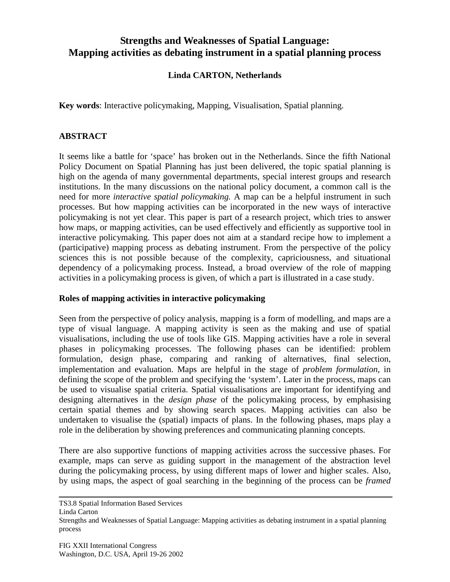# **Strengths and Weaknesses of Spatial Language: Mapping activities as debating instrument in a spatial planning process**

# **Linda CARTON, Netherlands**

**Key words**: Interactive policymaking, Mapping, Visualisation, Spatial planning.

# **ABSTRACT**

It seems like a battle for 'space' has broken out in the Netherlands. Since the fifth National Policy Document on Spatial Planning has just been delivered, the topic spatial planning is high on the agenda of many governmental departments, special interest groups and research institutions. In the many discussions on the national policy document, a common call is the need for more *interactive spatial policymaking.* A map can be a helpful instrument in such processes. But how mapping activities can be incorporated in the new ways of interactive policymaking is not yet clear. This paper is part of a research project, which tries to answer how maps, or mapping activities, can be used effectively and efficiently as supportive tool in interactive policymaking. This paper does not aim at a standard recipe how to implement a (participative) mapping process as debating instrument. From the perspective of the policy sciences this is not possible because of the complexity, capriciousness, and situational dependency of a policymaking process. Instead, a broad overview of the role of mapping activities in a policymaking process is given, of which a part is illustrated in a case study.

### **Roles of mapping activities in interactive policymaking**

Seen from the perspective of policy analysis, mapping is a form of modelling, and maps are a type of visual language. A mapping activity is seen as the making and use of spatial visualisations, including the use of tools like GIS. Mapping activities have a role in several phases in policymaking processes. The following phases can be identified: problem formulation, design phase, comparing and ranking of alternatives, final selection, implementation and evaluation. Maps are helpful in the stage of *problem formulation*, in defining the scope of the problem and specifying the 'system'. Later in the process, maps can be used to visualise spatial criteria. Spatial visualisations are important for identifying and designing alternatives in the *design phase* of the policymaking process, by emphasising certain spatial themes and by showing search spaces. Mapping activities can also be undertaken to visualise the (spatial) impacts of plans. In the following phases, maps play a role in the deliberation by showing preferences and communicating planning concepts.

There are also supportive functions of mapping activities across the successive phases. For example, maps can serve as guiding support in the management of the abstraction level during the policymaking process, by using different maps of lower and higher scales. Also, by using maps, the aspect of goal searching in the beginning of the process can be *framed*